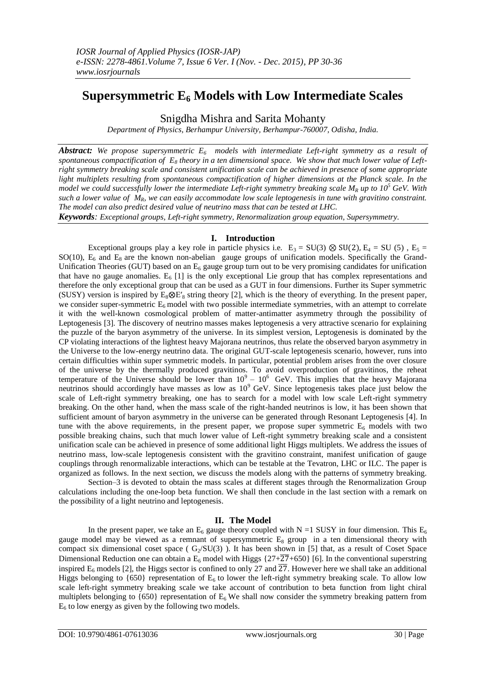# **Supersymmetric E<sup>6</sup> Models with Low Intermediate Scales**

Snigdha Mishra and Sarita Mohanty

*Department of Physics, Berhampur University, Berhampur-760007, Odisha, India.*

*Abstract: We propose supersymmetric E6 models with intermediate Left-right symmetry as a result of spontaneous compactification of E<sup>8</sup> theory in a ten dimensional space. We show that much lower value of Leftright symmetry breaking scale and consistent unification scale can be achieved in presence of some appropriate light multiplets resulting from spontaneous compactification of higher dimensions at the Planck scale. In the model we could successfully lower the intermediate Left-right symmetry breaking scale*  $M_R$  *up to 10<sup>5</sup> GeV. With such a lower value of MR, we can easily accommodate low scale leptogenesis in tune with gravitino constraint. The model can also predict desired value of neutrino mass that can be tested at LHC.*

*Keywords: Exceptional groups, Left-right symmetry, Renormalization group equation, Supersymmetry.*

# **I. Introduction**

Exceptional groups play a key role in particle physics i.e.  $E_3 = SU(3) \otimes SU(2)$ ,  $E_4 = SU(5)$ ,  $E_5 =$  $SO(10)$ ,  $E_6$  and  $E_8$  are the known non-abelian gauge groups of unification models. Specifically the Grand-Unification Theories (GUT) based on an  $E_6$  gauge group turn out to be very promising candidates for unification that have no gauge anomalies.  $E_6$  [1] is the only exceptional Lie group that has complex representations and therefore the only exceptional group that can be used as a GUT in four dimensions. Further its Super symmetric (SUSY) version is inspired by  $E_8 \otimes E'_8$  string theory [2], which is the theory of everything. In the present paper, we consider super-symmetric  $E_6$  model with two possible intermediate symmetries, with an attempt to correlate it with the well-known cosmological problem of matter-antimatter asymmetry through the possibility of Leptogenesis [3]. The discovery of neutrino masses makes leptogenesis a very attractive scenario for explaining the puzzle of the baryon asymmetry of the universe. In its simplest version, Leptogenesis is dominated by the CP violating interactions of the lightest heavy Majorana neutrinos, thus relate the observed baryon asymmetry in the Universe to the low-energy neutrino data. The original GUT-scale leptogenesis scenario, however, runs into certain difficulties within super symmetric models. In particular, potential problem arises from the over closure of the universe by the thermally produced gravitinos. To avoid overproduction of gravitinos, the reheat temperature of the Universe should be lower than  $10^9 - 10^6$  GeV. This implies that the heavy Majorana neutrinos should accordingly have masses as low as  $10^9$  GeV. Since leptogenesis takes place just below the scale of Left-right symmetry breaking, one has to search for a model with low scale Left-right symmetry breaking. On the other hand, when the mass scale of the right-handed neutrinos is low, it has been shown that sufficient amount of baryon asymmetry in the universe can be generated through Resonant Leptogenesis [4]. In tune with the above requirements, in the present paper, we propose super symmetric  $E_6$  models with two possible breaking chains, such that much lower value of Left-right symmetry breaking scale and a consistent unification scale can be achieved in presence of some additional light Higgs multiplets. We address the issues of neutrino mass, low-scale leptogenesis consistent with the gravitino constraint, manifest unification of gauge couplings through renormalizable interactions, which can be testable at the Tevatron, LHC or ILC. The paper is organized as follows. In the next section, we discuss the models along with the patterns of symmetry breaking.

Section–3 is devoted to obtain the mass scales at different stages through the Renormalization Group calculations including the one-loop beta function. We shall then conclude in the last section with a remark on the possibility of a light neutrino and leptogenesis.

## **II. The Model**

In the present paper, we take an  $E_6$  gauge theory coupled with N =1 SUSY in four dimension. This  $E_6$ gauge model may be viewed as a remnant of supersymmetric  $E_8$  group in a ten dimensional theory with compact six dimensional coset space ( $G_2/SU(3)$ ). It has been shown in [5] that, as a result of Coset Space Dimensional Reduction one can obtain a  $E_6$  model with Higgs  $\{27+\overline{27}+650\}$  [6]. In the conventional superstring inspired  $E_6$  models [2], the Higgs sector is confined to only 27 and  $\overline{27}$ . However here we shall take an additional Higgs belonging to  $\{650\}$  representation of  $E_6$  to lower the left-right symmetry breaking scale. To allow low scale left-right symmetry breaking scale we take account of contribution to beta function from light chiral multiplets belonging to  $\{650\}$  representation of E<sub>6</sub> We shall now consider the symmetry breaking pattern from  $E_6$  to low energy as given by the following two models.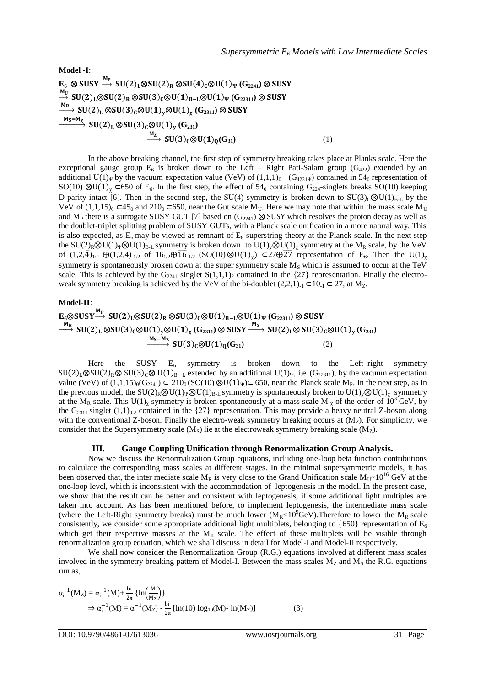**Model -I**:

 $\mathbf{E}_6 \otimes \textbf{SUSY} \stackrel{\textbf{M}_{\textbf{P}}}{\longrightarrow} \textbf{SU(2)}_{\textbf{L}} \otimes \textbf{SU(2)}_{\textbf{R}} \otimes \textbf{SU(4)}_{\textbf{C}} \otimes \textbf{U(1)}_{\Psi} \left( \textbf{G}_{2241} \right) \otimes \textbf{SUSY}$  $\stackrel{M_U}{\rightarrow} SU(2)_L \otimes SU(2)_R \otimes SU(3)_C \otimes U(1)_{B-L} \otimes U(1)_\Psi(G_{22311}) \otimes SUSY$  $\xrightarrow{\mathsf{M}_{\mathsf{R}}} \mathsf{SU}(2)_{\mathsf{L}} \otimes \mathsf{SU}(3)_{\mathsf{C}} \otimes \mathsf{U}(1)_{\mathsf{y}} \otimes \mathsf{U}(1)_{\mathsf{\chi}} \left( \mathrm{G}_{2311} \right) \otimes \mathsf{SUSY}$  $\xrightarrow{\mathsf{M_S=M_X}}$  **SU**(2)<sub>L</sub>  $\otimes$ **SU**(3)<sub>C</sub> $\otimes$ **U**(1)<sub>y</sub> (G<sub>231</sub>)  $\xrightarrow{M_Z} SU(3)_C \otimes U(1)_Q(G_{31})$  (1)

In the above breaking channel, the first step of symmetry breaking takes place at Planks scale. Here the exceptional gauge group  $E_6$  is broken down to the Left – Right Pati-Salam group (G<sub>422</sub>) extended by an additional U(1)<sub>Ψ</sub> by the vacuum expectation value (VeV) of  $(1,1,1)_0$  (G<sub>4221Ψ</sub>) contained in 54<sub>0</sub> representation of SO(10)  $\otimes$ U(1)<sub>x</sub> ⊂650 of E<sub>6</sub>. In the first step, the effect of 54<sub>0</sub> containing G<sub>224</sub>-singlets breaks SO(10) keeping D-parity intact [6]. Then in the second step, the SU(4) symmetry is broken down to SU(3)<sub>C</sub>⊗U(1)<sub>B-L</sub> by the VeV of (1,1,15)<sub>0</sub> ⊂45<sub>0</sub> and 210<sub>0</sub> ⊂650, near the Gut scale M<sub>U</sub>. Here we may note that within the mass scale M<sub>U</sub> and  $M_P$  there is a surrogate SUSY GUT [7] based on  $(G_{2241}) \otimes$  SUSY which resolves the proton decay as well as the doublet-triplet splitting problem of SUSY GUTs, with a Planck scale unification in a more natural way. This is also expected, as  $E_6$  may be viewed as remnant of  $E_8$  superstring theory at the Planck scale. In the next step the SU(2)<sub>R</sub>⊗U(1)<sub>Ψ</sub>⊗U(1)<sub>B-L</sub> symmetry is broken down to U(1)<sub>v</sub>⊗U(1)<sub>*x*</sub> symmetry at the M<sub>R</sub> scale, by the VeV of  $(1,2,\bar{4})_{1/2}$   $\oplus (1,2,4)_{1/2}$  of  $16_{1/2}\oplus\overline{16}_{1/2}$   $(SO(10)\otimes U(1)_\chi)$   $\subset 27\oplus\overline{27}$  representation of E<sub>6</sub>. Then the U(1)<sub>x</sub> symmetry is spontaneously broken down at the super symmetry scale  $M_S$  which is assumed to occur at the TeV scale. This is achieved by the  $G_{2241}$  singlet  $S(1,1,1)_2$  contained in the {27} representation. Finally the electroweak symmetry breaking is achieved by the VeV of the bi-doublet (2,2,1). $\Box$  ⊂ 10. $\Box$  ⊂ 27, at Mz.

## **Model-II**:

$$
\xrightarrow{E_6 \otimes SUSY \xrightarrow{M_P} SU(2)_L \otimes SU(2)_R \otimes SU(3)_C \otimes U(1)_{B-L} \otimes U(1)_{\Psi} (G_{22311}) \otimes SUSY} \xrightarrow{M_R} SU(2)_L \otimes SU(3)_C \otimes U(1)_{\mathbf{y}} \otimes U(1)_{\mathbf{y}} (G_{2311}) \otimes SUSY \xrightarrow{M_X} SU(2)_L \otimes SU(3)_C \otimes U(1)_{\mathbf{y}} (G_{231})} SU(3)_C \otimes U(1)_{\mathbf{y}} (G_{31})
$$
\n(2)

Here the SUSY  $E_6$  symmetry is broken down to the Left–right symmetry  $SU(2)_L \otimes SU(2)_R \otimes SU(3)_C \otimes U(1)_{B-L}$  extended by an additional  $U(1)_Y$ , i.e. (G<sub>22311</sub>), by the vacuum expectation value (VeV) of  $(1,1,15)_{0}(G_{2241}) \subset 210_{0}(SO(10) \otimes U(1)_{\Psi}) \subset 650$ , near the Planck scale M<sub>P</sub>. In the next step, as in the previous model, the SU(2)<sub>R</sub>⊗U(1)<sub>Ψ</sub>⊗U(1)<sub>B-L</sub> symmetry is spontaneously broken to U(1)<sub>y</sub>⊗U(1)<sub>x</sub> symmetry at the M<sub>R</sub> scale. This U(1)<sub>x</sub> symmetry is broken spontaneously at a mass scale M<sub>x</sub> of the order of  $10^3$  GeV, by the  $G_{2311}$  singlet  $(1,1)_{0,2}$  contained in the  $\{27\}$  representation. This may provide a heavy neutral Z-boson along with the conventional Z-boson. Finally the electro-weak symmetry breaking occurs at  $(M_Z)$ . For simplicity, we consider that the Supersymmetry scale  $(M<sub>S</sub>)$  lie at the electroweak symmetry breaking scale  $(M<sub>Z</sub>)$ .

## **III. Gauge Coupling Unification through Renormalization Group Analysis.**

Now we discuss the Renormalization Group equations, including one-loop beta function contributions to calculate the corresponding mass scales at different stages. In the minimal supersymmetric models, it has been observed that, the inter mediate scale  $M_R$  is very close to the Grand Unification scale  $M_{\text{U}}$ ~10<sup>16</sup> GeV at the one-loop level, which is inconsistent with the accommodation of leptogenesis in the model. In the present case, we show that the result can be better and consistent with leptogenesis, if some additional light multiples are taken into account. As has been mentioned before, to implement leptogenesis, the intermediate mass scale (where the Left-Right symmetry breaks) must be much lower ( $M_R < 10^9$ GeV). Therefore to lower the  $M_R$  scale consistently, we consider some appropriate additional light multiplets, belonging to  $\{650\}$  representation of  $E_6$ which get their respective masses at the  $M_R$  scale. The effect of these multiplets will be visible through renormalization group equation, which we shall discuss in detail for Model-I and Model-II respectively.

We shall now consider the Renormalization Group (R.G.) equations involved at different mass scales involved in the symmetry breaking pattern of Model-I. Between the mass scales  $M_Z$  and  $M_S$  the R.G. equations run as,

$$
\alpha_{i}^{-1}(M_{Z}) = \alpha_{i}^{-1}(M) + \frac{bi}{2\pi} \{ ln \left( \frac{M}{M_{Z}} \right) \}
$$
  
\n
$$
\Rightarrow \alpha_{i}^{-1}(M) = \alpha_{i}^{-1}(M_{Z}) - \frac{bi}{2\pi} [ln(10) log_{10}(M) - ln(M_{Z})]
$$
\n(3)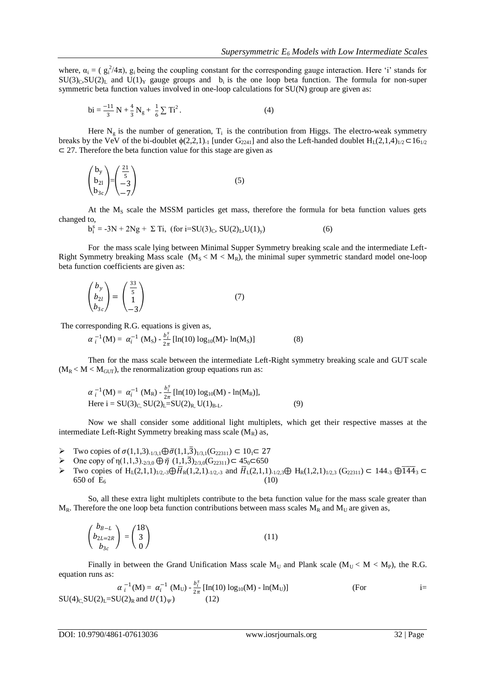where,  $\alpha_i = (g_i^2/4\pi)$ ,  $g_i$  being the coupling constant for the corresponding gauge interaction. Here 'i' stands for  $SU(3)_C$ ,  $SU(2)_L$  and  $U(1)_Y$  gauge groups and b<sub>i</sub> is the one loop beta function. The formula for non-super symmetric beta function values involved in one-loop calculations for SU(N) group are given as:

$$
bi = \frac{-11}{3} N + \frac{4}{3} N_g + \frac{1}{6} \sum Ti^2.
$$
 (4)

Here  $N_g$  is the number of generation,  $T_i$  is the contribution from Higgs. The electro-weak symmetry breaks by the VeV of the bi-doublet  $\phi(2,2,1)$ -1 [under G<sub>2241</sub>] and also the Left-handed doublet H<sub>L</sub>(2,1,4)<sub>1/2</sub> ⊂16<sub>1/2</sub> ⊂ 27. Therefore the beta function value for this stage are given as

$$
\begin{pmatrix} b_y \ b_{21} \ b_{3c} \end{pmatrix} = \begin{pmatrix} \frac{21}{5} \\ -3 \\ -7 \end{pmatrix}
$$
 (5)

At the  $M<sub>S</sub>$  scale the MSSM particles get mass, therefore the formula for beta function values gets changed to,

$$
b_i^s = -3N + 2Ng + \Sigma Ti, \text{ (for } i = SU(3)_C, SU(2)_L, U(1)_y)
$$
 (6)

For the mass scale lying between Minimal Supper Symmetry breaking scale and the intermediate Left-Right Symmetry breaking Mass scale  $(M_S < M < M_R)$ , the minimal super symmetric standard model one-loop beta function coefficients are given as:

$$
\begin{pmatrix} b_y \\ b_{2l} \\ b_{3c} \end{pmatrix} = \begin{pmatrix} \frac{33}{5} \\ 1 \\ -3 \end{pmatrix}
$$
 (7)

The corresponding R.G. equations is given as,

$$
\alpha_{i}^{-1}(M) = \alpha_{i}^{-1}(M_{S}) - \frac{b_{i}^{s}}{2\pi} [\ln(10) \log_{10}(M) - \ln(M_{S})]
$$
 (8)

Then for the mass scale between the intermediate Left-Right symmetry breaking scale and GUT scale  $(M_R < M < M_{GUT})$ , the renormalization group equations run as:

$$
\alpha_i^{-1}(M) = \alpha_i^{-1} (M_R) - \frac{b_i^s}{2\pi} [\ln(10) \log_{10}(M) - \ln(M_R)],
$$
  
Here i = SU(3)<sub>C</sub>, SU(2)<sub>L</sub>=SU(2)<sub>R</sub>, U(1)<sub>B-L</sub>. (9)

Now we shall consider some additional light multiplets, which get their respective masses at the intermediate Left-Right Symmetry breaking mass scale  $(M_R)$  as,

- $\triangleright$  Two copies of  $\sigma(1,1,3)_{-1/3,1}$  ⊕  $\bar{\sigma}(1,1,3)_{1/3,1}$  (G<sub>22311</sub>) ⊂ 10<sub>1</sub> ⊂ 27
- $\triangleright$  One copy of η(1,1,3)<sub>-2/3,0</sub>  $\oplus$   $\bar{\eta}$  (1,1,3)<sub>2/3,0</sub>(G<sub>22311</sub>) ⊂ 45<sub>0</sub>⊂650
- > Two copies of H<sub>L</sub>(2,1,1)<sub>1/2,-3</sub> ⊕ $\overline{H}_R(1,2,1)_{1/2,3}$  and  $\overline{H}_L(2,1,1)_{1/2,3}$  ⊕ H<sub>R</sub>(1,2,1)<sub>1/2,3</sub> (G<sub>22311</sub>) ⊂ 144<sub>-3</sub> ⊕  $\overline{144_3}$  ⊂ 650 of  $E_6$  (10)

So, all these extra light multiplets contribute to the beta function value for the mass scale greater than  $M_R$ . Therefore the one loop beta function contributions between mass scales  $M_R$  and  $M_U$  are given as,

$$
\begin{pmatrix} b_{B-L} \\ b_{2L=2R} \\ b_{3c} \end{pmatrix} = \begin{pmatrix} 18 \\ 3 \\ 0 \end{pmatrix}
$$
 (11)

Finally in between the Grand Unification Mass scale  $M_U$  and Plank scale ( $M_U < M < M_P$ ), the R.G. equation runs as:

$$
\alpha_{i}^{-1}(M) = \alpha_{i}^{-1} (M_{U}) - \frac{b_{i}^{s}}{2\pi} [\text{In}(10) \log_{10}(M) - \text{In}(M_{U})]
$$
\n(For\n
$$
SU(4)_{C_{i}} SU(2)_{L} = SU(2)_{R} \text{ and } U(1)_{\psi})
$$
\n(12)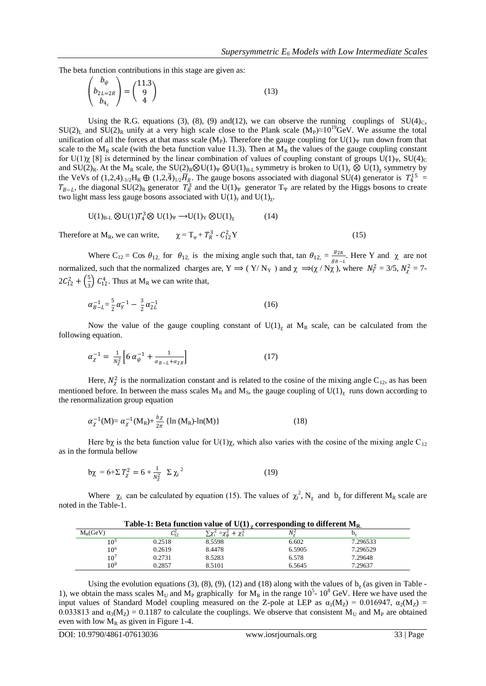The beta function contributions in this stage are given as:

$$
\begin{pmatrix} b_{\psi} \\ b_{2L=2R} \\ b_{4_c} \end{pmatrix} = \begin{pmatrix} 11.3 \\ 9 \\ 4 \end{pmatrix}
$$
 (13)

Using the R.G. equations (3), (8), (9) and(12), we can observe the running couplings of  $SU(4)<sub>C</sub>$ ,  $SU(2)_L$  and  $SU(2)_R$  unify at a very high scale close to the Plank scale (M<sub>P</sub>)≈10<sup>19</sup>GeV. We assume the total unification of all the forces at that mass scale (M<sub>P</sub>). Therefore the gauge coupling for U(1)<sub>Ψ</sub> run down from that scale to the  $M_R$  scale (with the beta function value 11.3). Then at  $M_R$  the values of the gauge coupling constant for U(1)χ [8] is determined by the linear combination of values of coupling constant of groups U(1)<sub>Ψ</sub>, SU(4)<sub>C</sub> and SU(2)<sub>R</sub>. At the M<sub>R</sub> scale, the SU(2)<sub>R</sub>⊗U(1)<sub>Ψ</sub> ⊗U(1)<sub>B-L</sub> symmetry is broken to U(1)<sub>y</sub> ⊗ U(1)<sub>x</sub> symmetry by the VeVs of  $(1,2,4)_{1/2}H_R \oplus (1,2,\overline{4})_{1/2}H_R$ . The gauge bosons associated with diagonal SU(4) generator is  $T_4^{15}$  =  $T_{B-L}$ , the diagonal SU(2)<sub>R</sub> generator  $T_R^3$  and the U(1)<sub>Ψ</sub> generator T<sub>Ψ</sub> are related by the Higgs bosons to create two light mass less gauge bosons associated with  $U(1)_y$  and  $U(1)_\chi$ .

$$
U(1)_{B-L} \otimes U(1)T_4^3 \otimes U(1)_Y \longrightarrow U(1)_Y \otimes U(1)_\chi \tag{14}
$$

Therefore at  $M_R$ , we can write,  $R^3$  -  $C_{12}^2$  $^{2}_{12}Y$  (15)

Where C<sub>12</sub> = Cos  $\theta_{12}$ , for  $\theta_{12}$ , is the mixing angle such that, tan  $\theta_{12} = \frac{g_{2R}}{g_{2R}}$  $\frac{g_{2R}}{g_{B-L}}$ . Here Y and  $\chi$  are not normalized, such that the normalized charges are,  $Y \Rightarrow (Y/N_Y)$  and  $\chi \Rightarrow (\chi/N_X)$ , where  $N_Y^2 = 3/5$ ,  $N_X^2 = 7$ - $2\mathcal{C}_{12}^2 + \left(\frac{5}{3}\right)$  $\frac{5}{3}$   $C_{12}^4$ . Thus at M<sub>R</sub> we can write that,

$$
\alpha_{B-L}^{-1} = \frac{5}{2}\alpha_Y^{-1} - \frac{3}{2}\alpha_{2L}^{-1} \tag{16}
$$

Now the value of the gauge coupling constant of  $U(1)_\gamma$  at  $M_R$  scale, can be calculated from the following equation.

$$
\alpha_{\chi}^{-1} = \frac{1}{N_{\chi}^2} \Big[ 6 \alpha_{\psi}^{-1} + \frac{1}{\alpha_{B-L} + \alpha_{2R}} \Big] \tag{17}
$$

Here,  $N_{\chi}^2$  is the normalization constant and is related to the cosine of the mixing angle C<sub>12</sub>, as has been mentioned before. In between the mass scales  $M_R$  and  $M_S$ , the gauge coupling of  $U(1)_\chi$  runs down according to the renormalization group equation

$$
\alpha_{\chi}^{-1}(M) = \alpha_{\chi}^{-1}(M_R) + \frac{b\chi}{2\pi} \{ \ln (M_R) - \ln(M) \}
$$
 (18)

Here bχ is the beta function value for U(1)<sub>X</sub>, which also varies with the cosine of the mixing angle C<sub>12</sub> as in the formula bellow

$$
b\chi = 6 + \Sigma T_{\chi}^{2} = 6 + \frac{1}{N_{\chi}^{2}} \Sigma \chi_{i}^{2}
$$
 (19)

Where  $\chi_i$  can be calculated by equation (15). The values of  $\chi_i^2$ , N<sub>x</sub> and b<sub>x</sub> for different M<sub>R</sub> scale are noted in the Table-1.

| Table-1: Beta function value of U(1), corresponding to different $M_{R}$ |            |                                                 |        |          |  |  |
|--------------------------------------------------------------------------|------------|-------------------------------------------------|--------|----------|--|--|
| $M_R$ (GeV)                                                              | $C_{12}^2$ | $\sum \chi_i^2 = \chi_{\phi}^2 + \chi_{\phi}^2$ | N.     |          |  |  |
| 10 <sup>5</sup>                                                          | 0.2518     | 8.5598                                          | 6.602  | 7.296533 |  |  |
| 10 <sup>6</sup>                                                          | 0.2619     | 8.4478                                          | 6.5905 | 7.296529 |  |  |
| $10^7$                                                                   | 0.2731     | 8.5283                                          | 6.578  | 7.29648  |  |  |
| $10^{8}$                                                                 | 0.2857     | 8.5101                                          | 6.5645 | 7.29637  |  |  |

Using the evolution equations (3), (8), (9), (12) and (18) along with the values of  $b<sub>\gamma</sub>$  (as given in Table -1), we obtain the mass scales  $\dot{M}_U$  and  $M_P$  graphically for  $M_R$  in the range 10<sup>5</sup>-10<sup>8</sup> GeV. Here we have used the input values of Standard Model coupling measured on the Z-pole at LEP as  $\alpha_1(M_Z) = 0.016947$ ,  $\alpha_2(M_Z) =$ 0.033813 and  $\alpha_3(M_Z) = 0.1187$  to calculate the couplings. We observe that consistent M<sub>U</sub> and M<sub>P</sub> are obtained even with low  $M_R$  as given in Figure 1-4.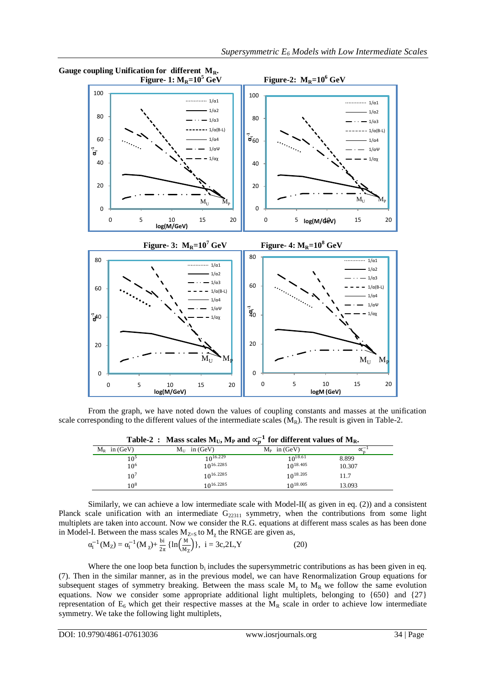

From the graph, we have noted down the values of coupling constants and masses at the unification scale corresponding to the different values of the intermediate scales  $(M_R)$ . The result is given in Table-2.

|                | <b>THERE</b> If the set of $\mathbb{R}$ is the same $\mathbb{R}$ for different values of $\mathbb{R}$ |                |                  |
|----------------|-------------------------------------------------------------------------------------------------------|----------------|------------------|
| $M_R$ in (GeV) | $M_{\text{II}}$ in (GeV)                                                                              | $M_P$ in (GeV) | $\propto$ $\sim$ |
| 105            | 10 <sup>16.229</sup>                                                                                  | $10^{18.61}$   | 8.899            |
| $10^{6}$       | 10 <sup>16.2285</sup>                                                                                 | $10^{18.405}$  | 10.307           |
| $10^7$         | 10 <sup>16.2285</sup>                                                                                 | $10^{18.205}$  | 11.7             |
| $10^{8}$       | $10^{16.2285}$                                                                                        | $10^{18.005}$  | 13.093           |

Table-2 : Mass scales  $M_U$ ,  $M_P$  and  $\propto_p^{-1}$  for different values of  $M_R$ .

Similarly, we can achieve a low intermediate scale with Model-II( as given in eq. (2)) and a consistent Planck scale unification with an intermediate  $G_{22311}$  symmetry, when the contributions from some light multiplets are taken into account. Now we consider the R.G. equations at different mass scales as has been done in Model-I. Between the mass scales  $M_{Z=8}$  to  $M_{\chi}$  the RNGE are given as,

$$
\alpha_i^{-1}(M_Z) = \alpha_i^{-1}(M_\chi) + \frac{\text{bi}}{2\pi} \left\{ \ln \left( \frac{M}{M_Z} \right) \right\}, \ i = 3c, 2L, Y \tag{20}
$$

Where the one loop beta function  $b_i$  includes the supersymmetric contributions as has been given in eq. (7). Then in the similar manner, as in the previous model, we can have Renormalization Group equations for subsequent stages of symmetry breaking. Between the mass scale  $M_{\chi}$  to  $M_{R}$  we follow the same evolution equations. Now we consider some appropriate additional light multiplets, belonging to {650} and {27} representation of  $E_6$  which get their respective masses at the  $M_R$  scale in order to achieve low intermediate symmetry. We take the following light multiplets,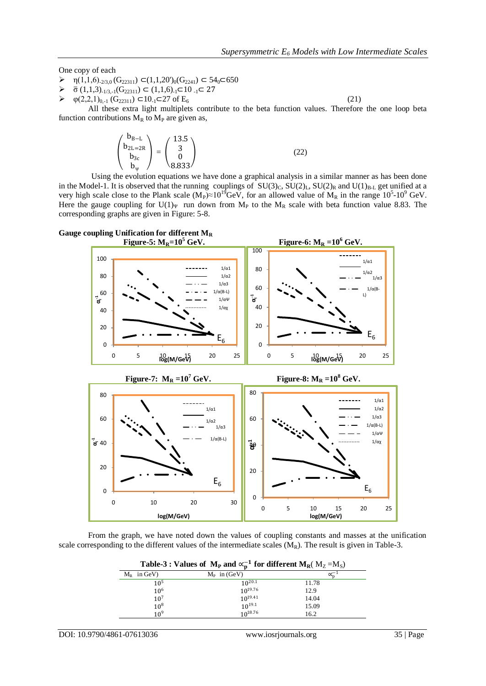One copy of each

- $\triangleright$  η(1,1,6)<sub>-2/3,0</sub> (G<sub>22311</sub>) ⊂(1,1,20')<sub>0</sub>(G<sub>2241</sub>) ⊂ 54<sub>0</sub>⊂650
- $\triangleright$   $\bar{\sigma}$  (1,1,3)<sub>-1/3,-1</sub>(G<sub>22311</sub>)  $\subset$  (1,1,6)<sub>-1</sub> $\subset$  10 <sub>-1</sub> $\subset$  27
- $\triangleright$   $\varphi(2,2,1)_{0,-1}$  (G<sub>22311</sub>) ⊂10<sub>-1</sub>⊂27 of E<sub>6</sub> (21)

All these extra light multiplets contribute to the beta function values. Therefore the one loop beta function contributions  $M_R$  to  $M_P$  are given as,

$$
\begin{pmatrix} b_{B-L} \\ b_{2L=2R} \\ b_{3c} \\ b_{\psi} \end{pmatrix} = \begin{pmatrix} 13.5 \\ 3 \\ 0 \\ 8.833 \end{pmatrix}
$$
 (22)

 Using the evolution equations we have done a graphical analysis in a similar manner as has been done in the Model-1. It is observed that the running couplings of  $SU(3)_C$ ,  $SU(2)_L$ ,  $SU(2)_R$  and  $U(1)_{B-L}$  get unified at a very high scale close to the Plank scale  $(M_P) \approx 10^{19} GeV$ , for an allowed value of  $M_R$  in the range  $10^5$ - $10^9$  GeV. Here the gauge coupling for U(1)<sub>Ψ</sub> run down from M<sub>P</sub> to the M<sub>R</sub> scale with beta function value 8.83. The corresponding graphs are given in Figure: 5-8.



From the graph, we have noted down the values of coupling constants and masses at the unification scale corresponding to the different values of the intermediate scales  $(M_R)$ . The result is given in Table-3.

**Table-3 : Values of**  $\rm M_P$  **and**  $\propto^{-1}_{p}$  **for different**  $\rm M_R$ **(**  $\rm M_Z$  **=** $\rm M_S$ **)** 

| $M_R$ in GeV)   | $M_P$ in (GeV) |       |
|-----------------|----------------|-------|
| $10^5$          | $10^{20.1}$    | 11.78 |
| 10 <sup>6</sup> | $10^{19.76}$   | 12.9  |
| 10 <sup>7</sup> | $10^{19.41}$   | 14.04 |
| $10^{8}$        | $10^{19.1}$    | 15.09 |
| 10 <sup>9</sup> | $10^{18.76}$   | 16.2  |